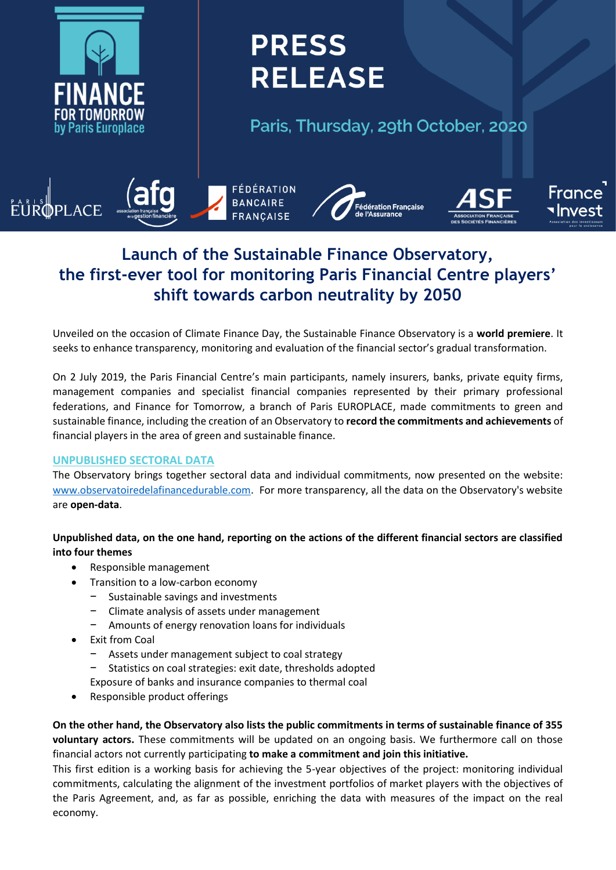

# **PRESS RELEASE**

Paris, Thursday, 29th October, 2020



## **Launch of the Sustainable Finance Observatory, the first-ever tool for monitoring Paris Financial Centre players' shift towards carbon neutrality by 2050**

Unveiled on the occasion of Climate Finance Day, the Sustainable Finance Observatory is a **world premiere**. It seeks to enhance transparency, monitoring and evaluation of the financial sector's gradual transformation.

On 2 July 2019, the Paris Financial Centre's main participants, namely insurers, banks, private equity firms, management companies and specialist financial companies represented by their primary professional federations, and Finance for Tomorrow, a branch of Paris EUROPLACE, made commitments to green and sustainable finance, including the creation of an Observatory to **record the commitments and achievements** of financial players in the area of green and sustainable finance.

#### **UNPUBLISHED SECTORAL DATA**

The Observatory brings together sectoral data and individual commitments, now presented on the website: [www.observatoiredelafinancedurable.com.](http://www.observatoiredelafinancedurable.com/) For more transparency, all the data on the Observatory's website are **open-data**.

### **Unpublished data, on the one hand, reporting on the actions of the different financial sectors are classified into four themes**

- Responsible management
- Transition to a low-carbon economy
	- − Sustainable savings and investments
	- − Climate analysis of assets under management
	- − Amounts of energy renovation loans for individuals
- Exit from Coal
	- − Assets under management subject to coal strategy
	- − Statistics on coal strategies: exit date, thresholds adopted
	- Exposure of banks and insurance companies to thermal coal
- Responsible product offerings

**On the other hand, the Observatory also lists the public commitments in terms of sustainable finance of 355 voluntary actors.** These commitments will be updated on an ongoing basis. We furthermore call on those financial actors not currently participating **to make a commitment and join this initiative.**

This first edition is a working basis for achieving the 5-year objectives of the project: monitoring individual commitments, calculating the alignment of the investment portfolios of market players with the objectives of the Paris Agreement, and, as far as possible, enriching the data with measures of the impact on the real economy.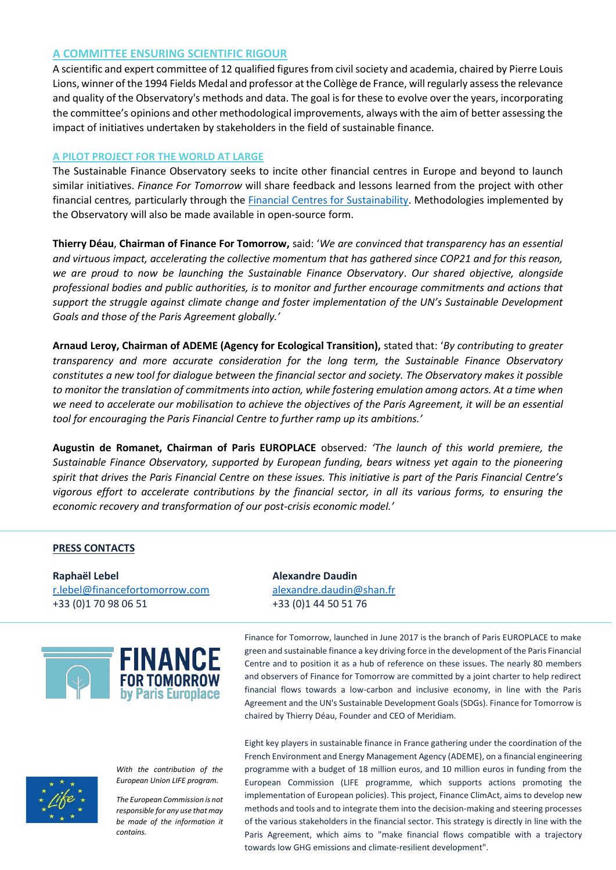#### **A COMMITTEE ENSURING SCIENTIFIC RIGOUR**

A scientific and expert committee of 12 qualified figures from civil society and academia, chaired by Pierre Louis Lions, winner of the 1994 Fields Medal and professor at the Collège de France, will regularly assess the relevance and quality of the Observatory's methods and data. The goal is for these to evolve over the years, incorporating the committee's opinions and other methodological improvements, always with the aim of better assessing the impact of initiatives undertaken by stakeholders in the field of sustainable finance.

#### **A PILOT PROJECT FOR THE WORLD AT LARGE**

The Sustainable Finance Observatory seeks to incite other financial centres in Europe and beyond to launch similar initiatives. *Finance For Tomorrow* will share feedback and lessons learned from the project with other financial centres*,* particularly through the [Financial Centres for Sustainability.](https://www.fc4s.org/) Methodologies implemented by the Observatory will also be made available in open-source form.

**Thierry Déau**, **Chairman of Finance For Tomorrow,** said: '*We are convinced that transparency has an essential and virtuous impact, accelerating the collective momentum that has gathered since COP21 and for this reason, we are proud to now be launching the Sustainable Finance Observatory*. *Our shared objective, alongside professional bodies and public authorities, is to monitor and further encourage commitments and actions that support the struggle against climate change and foster implementation of the UN's Sustainable Development Goals and those of the Paris Agreement globally.'* 

**Arnaud Leroy, Chairman of ADEME (Agency for Ecological Transition),** stated that: '*By contributing to greater transparency and more accurate consideration for the long term, the Sustainable Finance Observatory constitutes a new tool for dialogue between the financial sector and society. The Observatory makes it possible to monitor the translation of commitments into action, while fostering emulation among actors. At a time when*  we need to accelerate our mobilisation to achieve the objectives of the Paris Agreement, it will be an essential *tool for encouraging the Paris Financial Centre to further ramp up its ambitions.'* 

**Augustin de Romanet, Chairman of Paris EUROPLACE** observed*: 'The launch of this world premiere, the Sustainable Finance Observatory, supported by European funding, bears witness yet again to the pioneering spirit that drives the Paris Financial Centre on these issues. This initiative is part of the Paris Financial Centre's vigorous effort to accelerate contributions by the financial sector, in all its various forms, to ensuring the economic recovery and transformation of our post-crisis economic model.'*

#### **PRESS CONTACTS**

**Raphaël Lebel Alexandre Daudin** [r.lebel@financefortomorrow.com](mailto:r.lebel@financefortomorrow.com) [alexandre.daudin@shan.fr](mailto:alexandre.daudin@shan.fr) +33 (0)1 70 98 06 51 +33 (0)1 44 50 51 76





*With the contribution of the European Union LIFE program.* 

*The European Commission is not responsible for any use that may be made of the information it contains.*

Finance for Tomorrow, launched in June 2017 is the branch of Paris EUROPLACE to make green and sustainable finance a key driving force in the development of the Paris Financial Centre and to position it as a hub of reference on these issues. The nearly 80 members and observers of Finance for Tomorrow are committed by a joint charter to help redirect financial flows towards a low-carbon and inclusive economy, in line with the Paris Agreement and the UN's Sustainable Development Goals (SDGs). Finance for Tomorrow is chaired by Thierry Déau, Founder and CEO of Meridiam.

Eight key players in sustainable finance in France gathering under the coordination of the French Environment and Energy Management Agency (ADEME), on a financial engineering programme with a budget of 18 million euros, and 10 million euros in funding from the European Commission (LIFE programme, which supports actions promoting the implementation of European policies). This project, Finance ClimAct, aims to develop new methods and tools and to integrate them into the decision-making and steering processes of the various stakeholders in the financial sector. This strategy is directly in line with the Paris Agreement, which aims to "make financial flows compatible with a trajectory towards low GHG emissions and climate-resilient development".